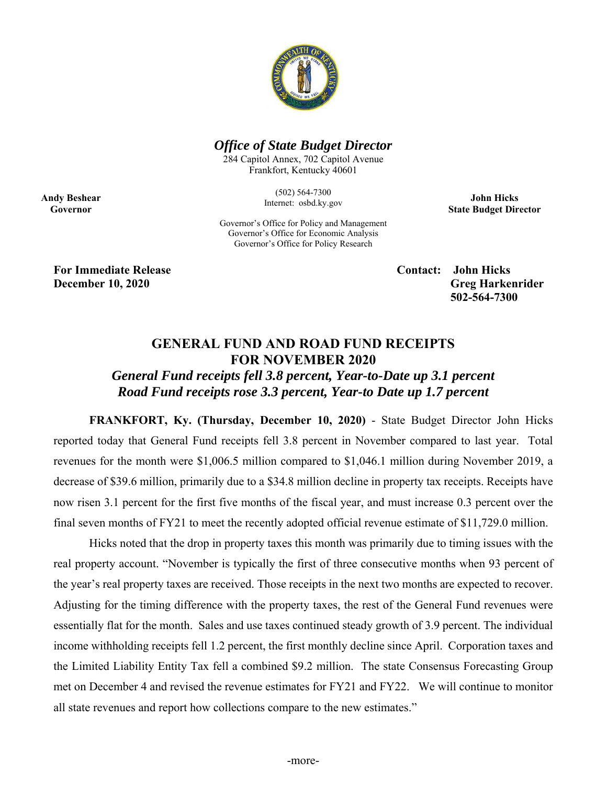

## *Office of State Budget Director*

284 Capitol Annex, 702 Capitol Avenue Frankfort, Kentucky 40601

> (502) 564-7300 Internet: osbd.ky.gov

**John Hicks State Budget Director** 

Governor's Office for Policy and Management Governor's Office for Economic Analysis Governor's Office for Policy Research

**For Immediate Release Contact: John Hicks** 

**Andy Beshear Governor** 

> **December 10, 2020** Greg Harkenrider  **502-564-7300**

## **GENERAL FUND AND ROAD FUND RECEIPTS FOR NOVEMBER 2020**

# *General Fund receipts fell 3.8 percent, Year-to-Date up 3.1 percent Road Fund receipts rose 3.3 percent, Year-to Date up 1.7 percent*

**FRANKFORT, Ky. (Thursday, December 10, 2020)** - State Budget Director John Hicks reported today that General Fund receipts fell 3.8 percent in November compared to last year. Total revenues for the month were \$1,006.5 million compared to \$1,046.1 million during November 2019, a decrease of \$39.6 million, primarily due to a \$34.8 million decline in property tax receipts. Receipts have now risen 3.1 percent for the first five months of the fiscal year, and must increase 0.3 percent over the final seven months of FY21 to meet the recently adopted official revenue estimate of \$11,729.0 million.

Hicks noted that the drop in property taxes this month was primarily due to timing issues with the real property account. "November is typically the first of three consecutive months when 93 percent of the year's real property taxes are received. Those receipts in the next two months are expected to recover. Adjusting for the timing difference with the property taxes, the rest of the General Fund revenues were essentially flat for the month. Sales and use taxes continued steady growth of 3.9 percent. The individual income withholding receipts fell 1.2 percent, the first monthly decline since April. Corporation taxes and the Limited Liability Entity Tax fell a combined \$9.2 million. The state Consensus Forecasting Group met on December 4 and revised the revenue estimates for FY21 and FY22. We will continue to monitor all state revenues and report how collections compare to the new estimates."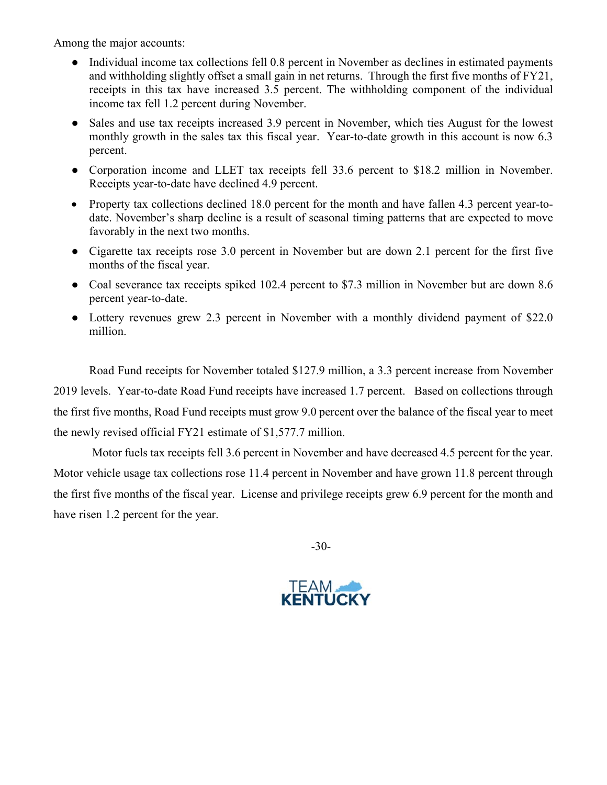Among the major accounts:

- Individual income tax collections fell 0.8 percent in November as declines in estimated payments and withholding slightly offset a small gain in net returns. Through the first five months of FY21, receipts in this tax have increased 3.5 percent. The withholding component of the individual income tax fell 1.2 percent during November.
- Sales and use tax receipts increased 3.9 percent in November, which ties August for the lowest monthly growth in the sales tax this fiscal year. Year-to-date growth in this account is now 6.3 percent.
- Corporation income and LLET tax receipts fell 33.6 percent to \$18.2 million in November. Receipts year-to-date have declined 4.9 percent.
- Property tax collections declined 18.0 percent for the month and have fallen 4.3 percent year-todate. November's sharp decline is a result of seasonal timing patterns that are expected to move favorably in the next two months.
- Cigarette tax receipts rose 3.0 percent in November but are down 2.1 percent for the first five months of the fiscal year.
- Coal severance tax receipts spiked 102.4 percent to \$7.3 million in November but are down 8.6 percent year-to-date.
- Lottery revenues grew 2.3 percent in November with a monthly dividend payment of \$22.0 million.

Road Fund receipts for November totaled \$127.9 million, a 3.3 percent increase from November 2019 levels. Year-to-date Road Fund receipts have increased 1.7 percent. Based on collections through the first five months, Road Fund receipts must grow 9.0 percent over the balance of the fiscal year to meet the newly revised official FY21 estimate of \$1,577.7 million.

 Motor fuels tax receipts fell 3.6 percent in November and have decreased 4.5 percent for the year. Motor vehicle usage tax collections rose 11.4 percent in November and have grown 11.8 percent through the first five months of the fiscal year. License and privilege receipts grew 6.9 percent for the month and have risen 1.2 percent for the year.

-30-

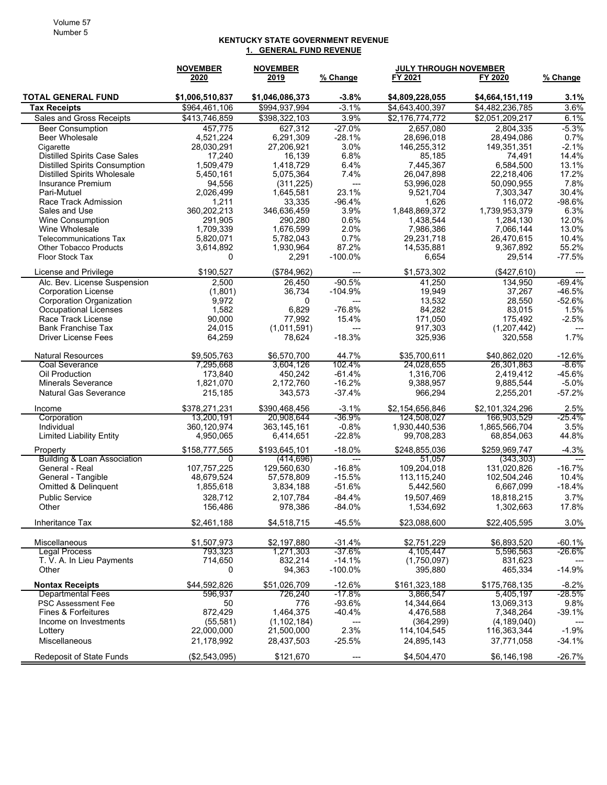#### **KENTUCKY STATE GOVERNMENT REVENUE 1. GENERAL FUND REVENUE**

|                                                            | <b>NOVEMBER</b>      | <b>NOVEMBER</b>     |                          | JULY THROUGH NOVEMBER |                      |                      |
|------------------------------------------------------------|----------------------|---------------------|--------------------------|-----------------------|----------------------|----------------------|
|                                                            | 2020                 | 2019                | % Change                 | FY 2021               | FY 2020              | <u>% Change</u>      |
| <b>TOTAL GENERAL FUND</b>                                  | \$1,006,510,837      | \$1,046,086,373     | $-3.8%$                  | \$4,809,228,055       | \$4,664,151,119      | 3.1%                 |
| <b>Tax Receipts</b>                                        | \$964,461,106        | \$994,937,994       | $-3.1%$                  | \$4,643,400,397       | \$4,482,236,785      | 3.6%                 |
| Sales and Gross Receipts                                   | \$413,746,859        | \$398,322,103       | 3.9%                     | \$2,176,774,772       | \$2,051,209,217      | 6.1%                 |
| <b>Beer Consumption</b>                                    | 457,775              | 627,312             | $-27.0%$                 | 2,657,080             | 2.804.335            | $-5.3%$              |
| <b>Beer Wholesale</b>                                      | 4,521,224            | 6,291,309           | $-28.1%$                 | 28,696,018            | 28,494,086           | 0.7%                 |
| Cigarette                                                  | 28,030,291           | 27,206,921          | 3.0%                     | 146,255,312           | 149,351,351          | $-2.1%$              |
| <b>Distilled Spirits Case Sales</b>                        | 17,240               | 16,139              | 6.8%                     | 85,185                | 74,491               | 14.4%                |
| <b>Distilled Spirits Consumption</b>                       | 1,509,479            | 1,418,729           | 6.4%                     | 7,445,367             | 6,584,500            | 13.1%                |
| <b>Distilled Spirits Wholesale</b>                         | 5,450,161            | 5,075,364           | 7.4%                     | 26,047,898            | 22.218.406           | 17.2%                |
| Insurance Premium                                          | 94,556               | (311, 225)          | $---$                    | 53,996,028            | 50,090,955           | 7.8%                 |
| Pari-Mutuel<br>Race Track Admission                        | 2,026,499            | 1,645,581<br>33,335 | 23.1%<br>$-96.4%$        | 9,521,704<br>1,626    | 7,303,347<br>116,072 | 30.4%<br>$-98.6%$    |
| Sales and Use                                              | 1,211<br>360,202,213 | 346,636,459         | 3.9%                     | 1,848,869,372         | 1,739,953,379        | 6.3%                 |
| <b>Wine Consumption</b>                                    | 291,905              | 290,280             | 0.6%                     | 1,438,544             | 1,284,130            | 12.0%                |
| Wine Wholesale                                             | 1,709,339            | 1,676,599           | 2.0%                     | 7,986,386             | 7,066,144            | 13.0%                |
| <b>Telecommunications Tax</b>                              | 5,820,071            | 5,782,043           | 0.7%                     | 29,231,718            | 26,470,615           | 10.4%                |
| <b>Other Tobacco Products</b>                              | 3,614,892            | 1,930,964           | 87.2%                    | 14,535,881            | 9,367,892            | 55.2%                |
| Floor Stock Tax                                            | 0                    | 2,291               | $-100.0\%$               | 6,654                 | 29,514               | $-77.5%$             |
|                                                            |                      |                     |                          |                       |                      |                      |
| License and Privilege                                      | \$190,527            | (\$784,962)         | ---                      | \$1,573,302           | (\$427,610)          |                      |
| Alc. Bev. License Suspension<br><b>Corporation License</b> | 2,500<br>(1,801)     | 26,450<br>36,734    | $-90.5%$<br>$-104.9%$    | 41,250<br>19,949      | 134,950<br>37,267    | $-69.4%$<br>$-46.5%$ |
| <b>Corporation Organization</b>                            | 9,972                | $\mathbf{0}$        | $\overline{a}$           | 13,532                | 28,550               | $-52.6%$             |
| <b>Occupational Licenses</b>                               | 1,582                | 6,829               | $-76.8%$                 | 84,282                | 83,015               | 1.5%                 |
| Race Track License                                         | 90,000               | 77,992              | 15.4%                    | 171,050               | 175,492              | $-2.5%$              |
| <b>Bank Franchise Tax</b>                                  | 24,015               | (1,011,591)         | $\overline{a}$           | 917,303               | (1,207,442)          | ---                  |
| <b>Driver License Fees</b>                                 | 64,259               | 78.624              | $-18.3%$                 | 325,936               | 320.558              | 1.7%                 |
| <b>Natural Resources</b>                                   | \$9,505,763          | \$6,570,700         | 44.7%                    | \$35,700,611          | \$40,862,020         | $-12.6%$             |
| <b>Coal Severance</b>                                      | 7,295,668            | 3,604,126           | 102.4%                   | 24,028,655            | 26,301,863           | -8.6%                |
| Oil Production                                             | 173,840              | 450,242             | $-61.4%$                 | 1,316,706             | 2,419,412            | -45.6%               |
| <b>Minerals Severance</b>                                  | 1,821,070            | 2,172,760           | $-16.2%$                 | 9,388,957             | 9,885,544            | $-5.0%$              |
| <b>Natural Gas Severance</b>                               | 215,185              | 343,573             | $-37.4%$                 | 966,294               | 2,255,201            | $-57.2%$             |
| Income                                                     | \$378,271,231        | \$390,468,456       | $-3.1%$                  | \$2,154,656,846       | \$2,101,324,296      | 2.5%                 |
| Corporation                                                | 13,200,191           | 20,908,644          | $-36.9%$                 | 124,508,027           | 166,903,529          | $-25.4%$             |
| Individual                                                 | 360,120,974          | 363, 145, 161       | $-0.8%$                  | 1,930,440,536         | 1,865,566,704        | 3.5%                 |
| <b>Limited Liability Entity</b>                            | 4,950,065            | 6,414,651           | $-22.8%$                 | 99,708,283            | 68,854,063           | 44.8%                |
| Property                                                   | \$158,777,565        | \$193,645,101       | $-18.0%$                 | \$248,855,036         | \$259,969,747        | $-4.3%$              |
| Building & Loan Association                                | 0                    | (414, 696)          | $\hspace{0.05cm} \ldots$ | 51,057                | (343, 303)           | $---$                |
| General - Real                                             | 107,757,225          | 129,560,630         | $-16.8%$                 | 109,204,018           | 131,020,826          | $-16.7%$             |
| General - Tangible                                         | 48,679,524           | 57,578,809          | $-15.5%$                 | 113,115,240           | 102,504,246          | 10.4%                |
| Omitted & Delinquent                                       | 1,855,618            | 3,834,188           | $-51.6%$                 | 5,442,560             | 6,667,099            | $-18.4%$             |
| <b>Public Service</b>                                      | 328,712              | 2,107,784           | $-84.4%$                 | 19.507.469            | 18,818,215           | 3.7%                 |
| Other                                                      | 156,486              | 978,386             | $-84.0%$                 | 1,534,692             | 1,302,663            | 17.8%                |
| Inheritance Tax                                            | \$2,461,188          | \$4,518,715         | $-45.5%$                 | \$23,088,600          | \$22,405,595         | 3.0%                 |
| Miscellaneous                                              | \$1,507,973          | \$2,197,880         | $-31.4%$                 | \$2,751,229           | \$6,893,520          | $-60.1%$             |
| <b>Legal Process</b>                                       | 793,323              | 1,271,303           | $-37.6%$                 | 4,105,447             | 5,596,563            | -26.6%               |
| T. V. A. In Lieu Payments                                  | 714,650              | 832,214             | $-14.1%$                 | (1,750,097)           | 831,623              |                      |
| Other                                                      | 0                    | 94,363              | $-100.0\%$               | 395,880               | 465,334              | $-14.9%$             |
| <b>Nontax Receipts</b>                                     | \$44,592,826         | \$51,026,709        | $-12.6%$                 | \$161,323,188         | \$175,768,135        | $-8.2%$              |
| <b>Departmental Fees</b>                                   | 596,937              | 726,240             | $-17.8%$                 | 3,866,547             | 5,405,197            | -28.5%               |
| <b>PSC Assessment Fee</b>                                  | 50                   | 776                 | $-93.6%$                 | 14,344,664            | 13,069,313           | 9.8%                 |
| <b>Fines &amp; Forfeitures</b>                             | 872,429              | 1,464,375           | $-40.4%$                 | 4,476,588             | 7,348,264            | $-39.1%$             |
| Income on Investments                                      | (55, 581)            | (1, 102, 184)       | ---                      | (364, 299)            | (4, 189, 040)        |                      |
| Lottery                                                    | 22,000,000           | 21,500,000          | 2.3%                     | 114, 104, 545         | 116,363,344          | $-1.9%$              |
| Miscellaneous                                              | 21,178,992           | 28,437,503          | $-25.5%$                 | 24,895,143            | 37,771,058           | $-34.1%$             |
| <b>Redeposit of State Funds</b>                            | (\$2,543,095)        | \$121,670           | $\overline{a}$           | \$4,504,470           | \$6,146,198          | $-26.7%$             |